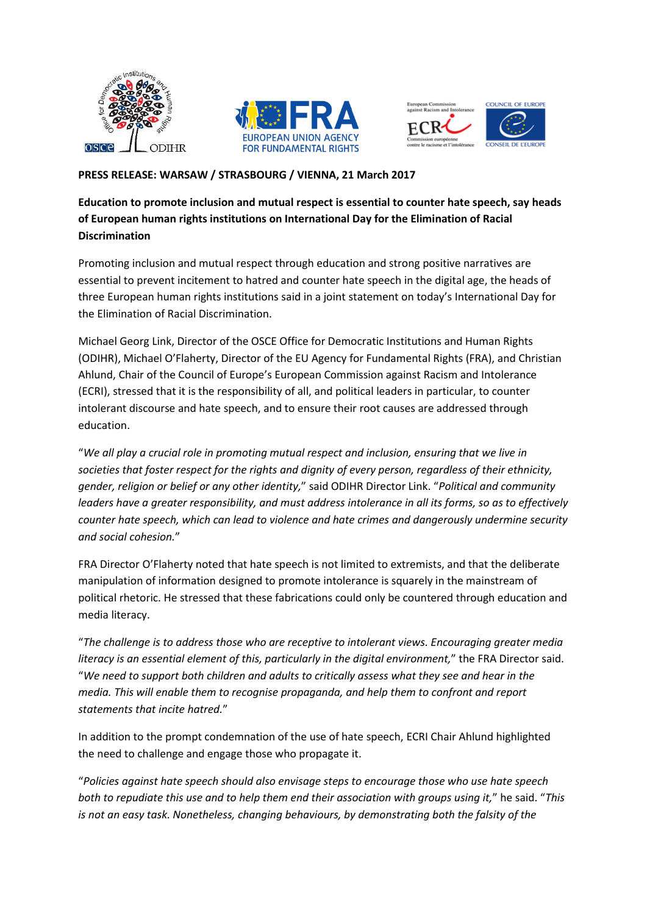





## **PRESS RELEASE: WARSAW / STRASBOURG / VIENNA, 21 March 2017**

## **Education to promote inclusion and mutual respect is essential to counter hate speech, say heads of European human rights institutions on International Day for the Elimination of Racial Discrimination**

Promoting inclusion and mutual respect through education and strong positive narratives are essential to prevent incitement to hatred and counter hate speech in the digital age, the heads of three European human rights institutions said in a joint statement on today's International Day for the Elimination of Racial Discrimination.

Michael Georg Link, Director of the OSCE Office for Democratic Institutions and Human Rights (ODIHR), Michael O'Flaherty, Director of the EU Agency for Fundamental Rights (FRA), and Christian Ahlund, Chair of the Council of Europe's European Commission against Racism and Intolerance (ECRI), stressed that it is the responsibility of all, and political leaders in particular, to counter intolerant discourse and hate speech, and to ensure their root causes are addressed through education.

"*We all play a crucial role in promoting mutual respect and inclusion, ensuring that we live in societies that foster respect for the rights and dignity of every person, regardless of their ethnicity, gender, religion or belief or any other identity,*" said ODIHR Director Link. "*Political and community leaders have a greater responsibility, and must address intolerance in all its forms, so as to effectively counter hate speech, which can lead to violence and hate crimes and dangerously undermine security and social cohesion.*"

FRA Director O'Flaherty noted that hate speech is not limited to extremists, and that the deliberate manipulation of information designed to promote intolerance is squarely in the mainstream of political rhetoric. He stressed that these fabrications could only be countered through education and media literacy.

"*The challenge is to address those who are receptive to intolerant views. Encouraging greater media literacy is an essential element of this, particularly in the digital environment,*" the FRA Director said. "*We need to support both children and adults to critically assess what they see and hear in the media. This will enable them to recognise propaganda, and help them to confront and report statements that incite hatred.*"

In addition to the prompt condemnation of the use of hate speech, ECRI Chair Ahlund highlighted the need to challenge and engage those who propagate it.

"*Policies against hate speech should also envisage steps to encourage those who use hate speech both to repudiate this use and to help them end their association with groups using it,*" he said. "*This is not an easy task. Nonetheless, changing behaviours, by demonstrating both the falsity of the*